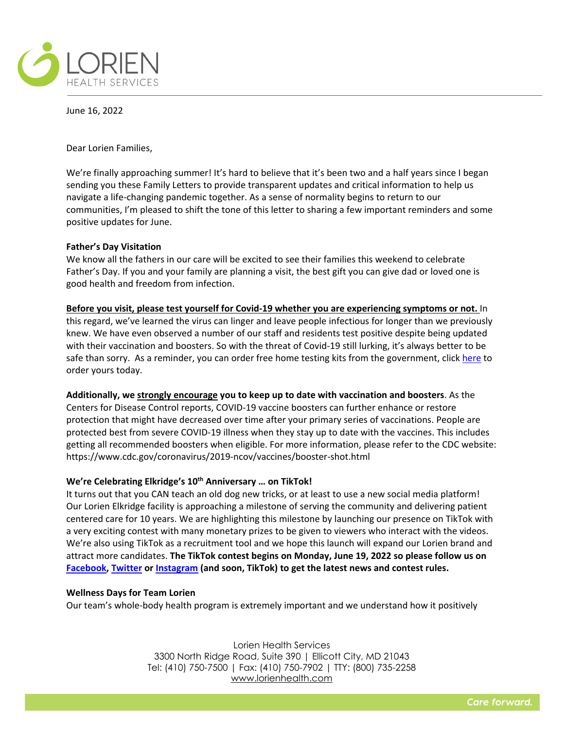

June 16, 2022

Dear Lorien Families,

We're finally approaching summer! It's hard to believe that it's been two and a half years since I began sending you these Family Letters to provide transparent updates and critical information to help us navigate a life-changing pandemic together. As a sense of normality begins to return to our communities, I'm pleased to shift the tone of this letter to sharing a few important reminders and some positive updates for June.

## **Father's Day Visitation**

We know all the fathers in our care will be excited to see their families this weekend to celebrate Father's Day. If you and your family are planning a visit, the best gift you can give dad or loved one is good health and freedom from infection.

**Before you visit, please test yourself for Covid-19 whether you are experiencing symptoms or not.** In this regard, we've learned the virus can linger an[d leave people infectious for longer](https://www.wsj.com/articles/covid-19-can-leave-you-infectious-after-five-or-even-10-days-11653994800) than we previously knew. We have even observed a number of our staff and residents test positive despite being updated with their vaccination and boosters. So with the threat of Covid-19 still lurking, it's always better to be safe than sorry. As a reminder, you can order free home testing kits from the government, click [here](https://www.covid.gov/tests) to order yours today.

**Additionally, we strongly encourage you to keep up to date with vaccination and boosters**. As the Centers for Disease Control reports, COVID-19 vaccine boosters can further enhance or restore protection that might have decreased over time after your primary series of vaccinations. People are protected best from severe COVID-19 illness when they stay up to date with the vaccines. This includes getting all recommended boosters when eligible. For more information, please refer to the CDC website: https://www.cdc.gov/coronavirus/2019-ncov/vaccines/booster-shot.html

# **We're Celebrating Elkridge's 10th Anniversary … on TikTok!**

It turns out that you CAN teach an old dog new tricks, or at least to use a new social media platform! Our Lorien Elkridge facility is approaching a milestone of serving the community and delivering patient centered care for 10 years. We are highlighting this milestone by launching our presence on TikTok with a very exciting contest with many monetary prizes to be given to viewers who interact with the videos. We're also using TikTok as a recruitment tool and we hope this launch will expand our Lorien brand and attract more candidates. **The TikTok contest begins on Monday, June 19, 2022 so please follow us on [Facebook,](https://www.facebook.com/lorienhealth) [Twitter](https://twitter.com/lorienhealth?lang=en) or [Instagram](https://www.instagram.com/lorienhealth/?hl=en) (and soon, TikTok) to get the latest news and contest rules.**

## **Wellness Days for Team Lorien**

Our team's whole-body health program is extremely important and we understand how it positively

Lorien Health Services 3300 North Ridge Road, Suite 390 | Ellicott City, MD 21043 Tel: (410) 750-7500 | Fax: (410) 750-7902 | TTY: (800) 735-2258 [www.lorienhealth.com](http://www.lorienhealth.com/)